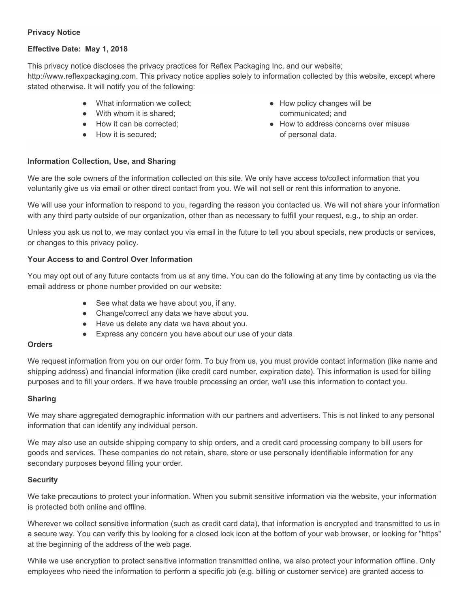### **Privacy Notice**

# **Effective Date: May 1, 2018**

This privacy notice discloses the privacy practices for Reflex Packaging Inc. and our website; http://www.reflexpackaging.com. This privacy notice applies solely to information collected by this website, except where stated otherwise. It will notify you of the following:

- What information we collect:
- With whom it is shared:
- How it can be corrected:
- How it is secured;
- How policy changes will be communicated; and
- How to address concerns over misuse of personal data.

#### **Information Collection, Use, and Sharing**

We are the sole owners of the information collected on this site. We only have access to/collect information that you voluntarily give us via email or other direct contact from you. We will not sell or rent this information to anyone.

We will use your information to respond to you, regarding the reason you contacted us. We will not share your information with any third party outside of our organization, other than as necessary to fulfill your request, e.g., to ship an order.

Unless you ask us not to, we may contact you via email in the future to tell you about specials, new products or services, or changes to this privacy policy.

#### **Your Access to and Control Over Information**

You may opt out of any future contacts from us at any time. You can do the following at any time by contacting us via the email address or phone number provided on our website:

- See what data we have about you, if any.
- Change/correct any data we have about you.
- Have us delete any data we have about you.
- Express any concern you have about our use of your data

#### **Orders**

We request information from you on our order form. To buy from us, you must provide contact information (like name and shipping address) and financial information (like credit card number, expiration date). This information is used for billing purposes and to fill your orders. If we have trouble processing an order, we'll use this information to contact you.

#### **Sharing**

We may share aggregated demographic information with our partners and advertisers. This is not linked to any personal information that can identify any individual person.

We may also use an outside shipping company to ship orders, and a credit card processing company to bill users for goods and services. These companies do not retain, share, store or use personally identifiable information for any secondary purposes beyond filling your order.

#### **Security**

We take precautions to protect your information. When you submit sensitive information via the website, your information is protected both online and offline.

Wherever we collect sensitive information (such as credit card data), that information is encrypted and transmitted to us in a secure way. You can verify this by looking for a closed lock icon at the bottom of your web browser, or looking for "https" at the beginning of the address of the web page.

While we use encryption to protect sensitive information transmitted online, we also protect your information offline. Only employees who need the information to perform a specific job (e.g. billing or customer service) are granted access to